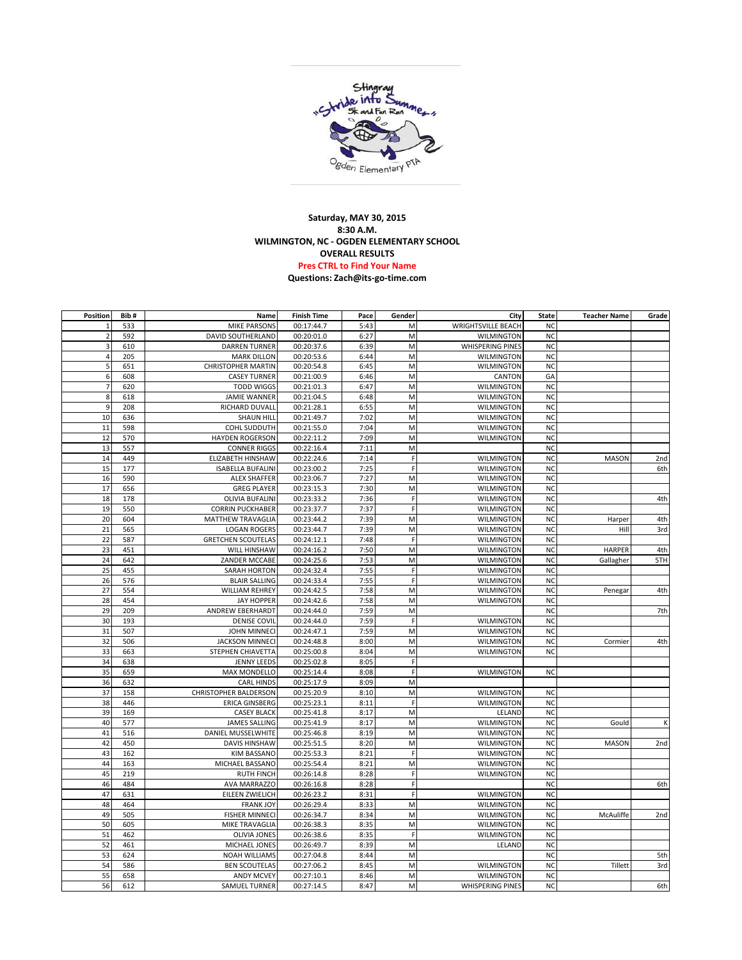

## **Saturday, MAY 30, 2015 8:30 A.M. WILMINGTON, NC - OGDEN ELEMENTARY SCHOOL OVERALL RESULTS Pres CTRL to Find Your Name [Questions: Zach@its-go-time.com](mailto:zach@its-go-time.com)**

| Position       | Bib# | Name                         | <b>Finish Time</b> | Pace | Gender       | City                      | <b>State</b>   | <b>Teacher Name</b> | Grade           |
|----------------|------|------------------------------|--------------------|------|--------------|---------------------------|----------------|---------------------|-----------------|
| $\mathbf 1$    | 533  | <b>MIKE PARSONS</b>          | 00:17:44.7         | 5:43 | M            | <b>WRIGHTSVILLE BEACH</b> | <b>NC</b>      |                     |                 |
| $\overline{2}$ | 592  | <b>DAVID SOUTHERLAND</b>     | 00:20:01.0         | 6:27 | M            | <b>WILMINGTON</b>         | <b>NC</b>      |                     |                 |
| 3              | 610  | <b>DARREN TURNER</b>         | 00:20:37.6         | 6:39 | M            | <b>WHISPERING PINES</b>   | <b>NC</b>      |                     |                 |
| $\overline{4}$ | 205  | <b>MARK DILLON</b>           | 00:20:53.6         | 6:44 | M            | <b>WILMINGTON</b>         | <b>NC</b>      |                     |                 |
| 5              | 651  | <b>CHRISTOPHER MARTIN</b>    | 00:20:54.8         | 6:45 | M            | <b>WILMINGTON</b>         | <b>NC</b>      |                     |                 |
| 6              | 608  | <b>CASEY TURNER</b>          | 00:21:00.9         | 6:46 | M            | CANTON                    | GA             |                     |                 |
| $\overline{7}$ | 620  | <b>TODD WIGGS</b>            | 00:21:01.3         | 6:47 | M            | <b>WILMINGTON</b>         | <b>NC</b>      |                     |                 |
| 8              | 618  | <b>JAMIE WANNER</b>          | 00:21:04.5         | 6:48 | M            | <b>WILMINGTON</b>         | <b>NC</b>      |                     |                 |
| 9              | 208  | RICHARD DUVALL               | 00:21:28.1         | 6:55 | M            | WILMINGTON                | <b>NC</b>      |                     |                 |
| 10             | 636  | <b>SHAUN HILL</b>            | 00:21:49.7         | 7:02 | M            | <b>WILMINGTON</b>         | <b>NC</b>      |                     |                 |
| 11             | 598  | <b>COHL SUDDUTH</b>          | 00:21:55.0         | 7:04 | M            | <b>WILMINGTON</b>         | <b>NC</b>      |                     |                 |
| 12             | 570  | <b>HAYDEN ROGERSON</b>       | 00:22:11.2         | 7:09 | M            | <b>WILMINGTON</b>         | <b>NC</b>      |                     |                 |
| 13             | 557  | <b>CONNER RIGGS</b>          | 00:22:16.4         | 7:11 | M            |                           | N <sub>C</sub> |                     |                 |
| 14             | 449  | ELIZABETH HINSHAW            | 00:22:24.6         | 7:14 | $\mathsf F$  | <b>WILMINGTON</b>         | <b>NC</b>      | <b>MASON</b>        | 2nd             |
| 15             | 177  | <b>ISABELLA BUFALINI</b>     | 00:23:00.2         | 7:25 | $\mathsf{F}$ | <b>WILMINGTON</b>         | <b>NC</b>      |                     | 6th             |
| 16             | 590  | <b>ALEX SHAFFER</b>          | 00:23:06.7         | 7:27 | M            | <b>WILMINGTON</b>         | <b>NC</b>      |                     |                 |
| 17             | 656  | <b>GREG PLAYER</b>           | 00:23:15.3         | 7:30 | M            | <b>WILMINGTON</b>         | <b>NC</b>      |                     |                 |
| 18             | 178  | <b>OLIVIA BUFALINI</b>       | 00:23:33.2         | 7:36 | $\mathsf F$  | <b>WILMINGTON</b>         | <b>NC</b>      |                     | 4th             |
| 19             | 550  | <b>CORRIN PUCKHABER</b>      | 00:23:37.7         | 7:37 | $\mathsf{F}$ | <b>WILMINGTON</b>         | <b>NC</b>      |                     |                 |
| 20             | 604  | MATTHEW TRAVAGLIA            | 00:23:44.2         | 7:39 | M            | <b>WILMINGTON</b>         | <b>NC</b>      | Harper              | 4th             |
| 21             | 565  | <b>LOGAN ROGERS</b>          | 00:23:44.7         | 7:39 | M            | <b>WILMINGTON</b>         | <b>NC</b>      | Hill                | 3rd             |
| 22             | 587  | <b>GRETCHEN SCOUTELAS</b>    | 00:24:12.1         | 7:48 | F            | WILMINGTON                | <b>NC</b>      |                     |                 |
| 23             | 451  | WILL HINSHAW                 | 00:24:16.2         | 7:50 | M            | <b>WILMINGTON</b>         | <b>NC</b>      | <b>HARPER</b>       | 4th             |
| 24             | 642  | ZANDER MCCABE                | 00:24:25.6         | 7:53 | M            | <b>WILMINGTON</b>         | <b>NC</b>      | Gallagher           | 5TH             |
| 25             | 455  | <b>SARAH HORTON</b>          | 00:24:32.4         | 7:55 | $\mathsf F$  | <b>WILMINGTON</b>         | <b>NC</b>      |                     |                 |
| 26             | 576  | <b>BLAIR SALLING</b>         | 00:24:33.4         | 7:55 | F            | <b>WILMINGTON</b>         | <b>NC</b>      |                     |                 |
| 27             | 554  | <b>WILLIAM REHREY</b>        | 00:24:42.5         | 7:58 | M            | <b>WILMINGTON</b>         | <b>NC</b>      | Penegar             | 4th             |
| 28             | 454  | <b>JAY HOPPER</b>            | 00:24:42.6         | 7:58 | M            | <b>WILMINGTON</b>         | <b>NC</b>      |                     |                 |
| 29             | 209  | <b>ANDREW EBERHARDT</b>      | 00:24:44.0         | 7:59 | M            |                           | <b>NC</b>      |                     | 7th             |
| 30             | 193  | <b>DENISE COVIL</b>          | 00:24:44.0         | 7:59 | F            | <b>WILMINGTON</b>         | <b>NC</b>      |                     |                 |
| 31             | 507  | <b>JOHN MINNECI</b>          | 00:24:47.1         | 7:59 | M            | <b>WILMINGTON</b>         | <b>NC</b>      |                     |                 |
| 32             | 506  | <b>JACKSON MINNECI</b>       | 00:24:48.8         | 8:00 | M            | WILMINGTON                | <b>NC</b>      | Cormier             | 4th             |
| 33             | 663  | STEPHEN CHIAVETTA            | 00:25:00.8         | 8:04 | M            | <b>WILMINGTON</b>         | <b>NC</b>      |                     |                 |
| 34             | 638  | <b>JENNY LEEDS</b>           | 00:25:02.8         | 8:05 | E            |                           |                |                     |                 |
| 35             | 659  | <b>MAX MONDELLO</b>          | 00:25:14.4         | 8:08 | $\mathsf F$  | <b>WILMINGTON</b>         | <b>NC</b>      |                     |                 |
| 36             | 632  | <b>CARL HINDS</b>            | 00:25:17.9         | 8:09 | M            |                           |                |                     |                 |
| 37             | 158  | <b>CHRISTOPHER BALDERSON</b> | 00:25:20.9         | 8:10 | M            | <b>WILMINGTON</b>         | <b>NC</b>      |                     |                 |
| 38             | 446  | <b>ERICA GINSBERG</b>        | 00:25:23.1         | 8:11 | F            | <b>WILMINGTON</b>         | <b>NC</b>      |                     |                 |
| 39             | 169  | <b>CASEY BLACK</b>           | 00:25:41.8         | 8:17 | M            | LELAND                    | <b>NC</b>      |                     |                 |
| 40             | 577  | <b>JAMES SALLING</b>         | 00:25:41.9         | 8:17 | M            | <b>WILMINGTON</b>         | <b>NC</b>      | Gould               | K               |
| 41             | 516  | <b>DANIEL MUSSELWHITE</b>    | 00:25:46.8         | 8:19 | M            | <b>WILMINGTON</b>         | <b>NC</b>      |                     |                 |
| 42             | 450  | <b>DAVIS HINSHAW</b>         | 00:25:51.5         | 8:20 | M            | <b>WILMINGTON</b>         | <b>NC</b>      | <b>MASON</b>        | 2 <sub>nd</sub> |
| 43             | 162  | <b>KIM BASSANO</b>           | 00:25:53.3         | 8:21 | F            | <b>WILMINGTON</b>         | <b>NC</b>      |                     |                 |
| 44             | 163  | MICHAEL BASSANO              | 00:25:54.4         | 8:21 | M            | <b>WILMINGTON</b>         | <b>NC</b>      |                     |                 |
| 45             | 219  | <b>RUTH FINCH</b>            | 00:26:14.8         | 8:28 | F            | <b>WILMINGTON</b>         | <b>NC</b>      |                     |                 |
| 46             | 484  | <b>AVA MARRAZZO</b>          | 00:26:16.8         | 8:28 | $\mathsf{F}$ |                           | <b>NC</b>      |                     | 6th             |
| 47             | 631  | <b>EILEEN ZWIELICH</b>       | 00:26:23.2         | 8:31 | F            | <b>WILMINGTON</b>         | <b>NC</b>      |                     |                 |
| 48             | 464  | <b>FRANK JOY</b>             | 00:26:29.4         | 8:33 | M            | <b>WILMINGTON</b>         | <b>NC</b>      |                     |                 |
| 49             | 505  | <b>FISHER MINNECI</b>        | 00:26:34.7         | 8:34 | M            | <b>WILMINGTON</b>         | <b>NC</b>      | McAuliffe           | 2nd             |
| 50             | 605  | MIKE TRAVAGLIA               | 00:26:38.3         | 8:35 | M            | <b>WILMINGTON</b>         | <b>NC</b>      |                     |                 |
| 51             | 462  | <b>OLIVIA JONES</b>          | 00:26:38.6         | 8:35 | F            | <b>WILMINGTON</b>         | <b>NC</b>      |                     |                 |
| 52             | 461  | MICHAEL JONES                | 00:26:49.7         | 8:39 | M            | LELAND                    | <b>NC</b>      |                     |                 |
| 53             | 624  | <b>NOAH WILLIAMS</b>         | 00:27:04.8         | 8:44 | M            |                           | <b>NC</b>      |                     | 5th             |
| 54             | 586  | <b>BEN SCOUTELAS</b>         | 00:27:06.2         | 8:45 | M            | <b>WILMINGTON</b>         | <b>NC</b>      | Tillett             | 3rd             |
| 55             | 658  | <b>ANDY MCVEY</b>            | 00:27:10.1         | 8:46 | M            | <b>WILMINGTON</b>         | <b>NC</b>      |                     |                 |
| 56             | 612  | <b>SAMUEL TURNER</b>         | 00:27:14.5         | 8:47 | M            | <b>WHISPERING PINES</b>   | <b>NC</b>      |                     | 6th             |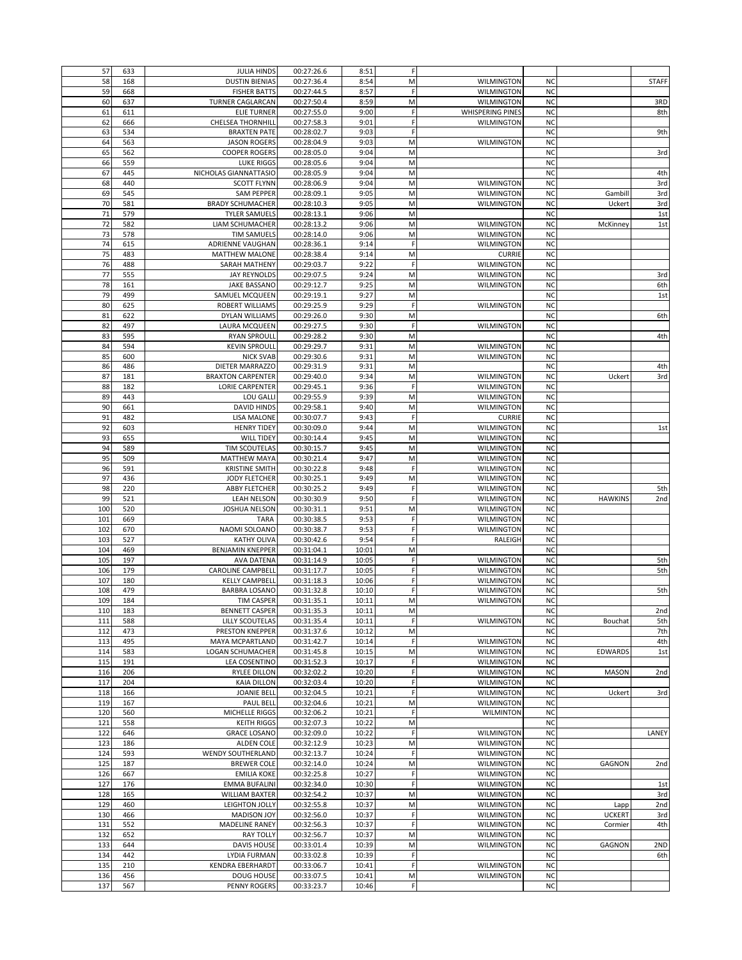| 57  | 633 | <b>JULIA HINDS</b>         | 00:27:26.6               | 8:51  | F            |                         |           |                |              |
|-----|-----|----------------------------|--------------------------|-------|--------------|-------------------------|-----------|----------------|--------------|
| 58  | 168 | <b>DUSTIN BIENIAS</b>      | 00:27:36.4               | 8:54  | M            | <b>WILMINGTON</b>       | <b>NC</b> |                | <b>STAFF</b> |
| 59  | 668 | <b>FISHER BATTS</b>        | 00:27:44.5               | 8:57  | F            | WILMINGTON              | <b>NC</b> |                |              |
|     |     |                            |                          |       |              |                         |           |                |              |
| 60  | 637 | <b>TURNER CAGLARCAN</b>    | 00:27:50.4               | 8:59  | М            | <b>WILMINGTON</b>       | <b>NC</b> |                | 3RD          |
| 61  | 611 | <b>ELIE TURNER</b>         | 00:27:55.0               | 9:00  | F            | <b>WHISPERING PINES</b> | <b>NC</b> |                | 8th          |
| 62  | 666 | <b>CHELSEA THORNHILL</b>   | 00:27:58.3               | 9:01  | F            | <b>WILMINGTON</b>       | <b>NC</b> |                |              |
| 63  | 534 | <b>BRAXTEN PATE</b>        | 00:28:02.7               | 9:03  | $\mathsf{F}$ |                         | <b>NC</b> |                | 9th          |
| 64  | 563 | <b>JASON ROGERS</b>        | 00:28:04.9               | 9:03  | M            | <b>WILMINGTON</b>       | <b>NC</b> |                |              |
| 65  | 562 | <b>COOPER ROGERS</b>       | 00:28:05.0               | 9:04  | M            |                         | <b>NC</b> |                | 3rd          |
| 66  | 559 | <b>LUKE RIGGS</b>          | 00:28:05.6               | 9:04  | M            |                         | <b>NC</b> |                |              |
|     |     |                            |                          |       |              |                         |           |                |              |
| 67  | 445 | NICHOLAS GIANNATTASIO      | 00:28:05.9               | 9:04  | M            |                         | <b>NC</b> |                | 4th          |
| 68  | 440 | <b>SCOTT FLYNN</b>         | 00:28:06.9               | 9:04  | M            | <b>WILMINGTON</b>       | <b>NC</b> |                | 3rd          |
| 69  | 545 | <b>SAM PEPPER</b>          | 00:28:09.1               | 9:05  | M            | <b>WILMINGTON</b>       | <b>NC</b> | Gambill        | 3rd          |
| 70  | 581 | <b>BRADY SCHUMACHER</b>    | 00:28:10.3               | 9:05  | M            | <b>WILMINGTON</b>       | <b>NC</b> | Uckert         | 3rd          |
| 71  | 579 | <b>TYLER SAMUELS</b>       | 00:28:13.1               | 9:06  | M            |                         | <b>NC</b> |                | 1st          |
| 72  | 582 | LIAM SCHUMACHER            | 00:28:13.2               | 9:06  | M            | <b>WILMINGTON</b>       | <b>NC</b> | McKinney       | 1st          |
| 73  | 578 | <b>TIM SAMUELS</b>         | 00:28:14.0               | 9:06  | M            | <b>WILMINGTON</b>       | <b>NC</b> |                |              |
| 74  | 615 | ADRIENNE VAUGHAN           | 00:28:36.1               | 9:14  | F            | WILMINGTON              | <b>NC</b> |                |              |
|     |     |                            |                          |       |              |                         |           |                |              |
| 75  | 483 | <b>MATTHEW MALONE</b>      | 00:28:38.4               | 9:14  | M            | <b>CURRIE</b>           | <b>NC</b> |                |              |
| 76  | 488 | SARAH MATHENY              | 00:29:03.7               | 9:22  | $\mathsf F$  | <b>WILMINGTON</b>       | <b>NC</b> |                |              |
| 77  | 555 | <b>JAY REYNOLDS</b>        | 00:29:07.5               | 9:24  | M            | <b>WILMINGTON</b>       | <b>NC</b> |                | 3rd          |
| 78  | 161 | <b>JAKE BASSANO</b>        | 00:29:12.7               | 9:25  | M            | <b>WILMINGTON</b>       | <b>NC</b> |                | 6th          |
| 79  | 499 | SAMUEL MCQUEEN             | 00:29:19.1               | 9:27  | M            |                         | <b>NC</b> |                | 1st          |
| 80  | 625 | <b>ROBERT WILLIAMS</b>     | 00:29:25.9               | 9:29  | $\mathsf{F}$ | <b>WILMINGTON</b>       | <b>NC</b> |                |              |
|     |     |                            |                          |       |              |                         |           |                |              |
| 81  | 622 | DYLAN WILLIAMS             | 00:29:26.0               | 9:30  | M            |                         | <b>NC</b> |                | 6th          |
| 82  | 497 | LAURA MCQUEEN              | 00:29:27.5               | 9:30  | F            | <b>WILMINGTON</b>       | <b>NC</b> |                |              |
| 83  | 595 | <b>RYAN SPROULL</b>        | 00:29:28.2               | 9:30  | M            |                         | <b>NC</b> |                | 4th          |
| 84  | 594 | <b>KEVIN SPROULL</b>       | 00:29:29.7               | 9:31  | M            | WILMINGTON              | <b>NC</b> |                |              |
| 85  | 600 | <b>NICK SVAB</b>           | 00:29:30.6               | 9:31  | M            | <b>WILMINGTON</b>       | <b>NC</b> |                |              |
|     |     |                            |                          |       |              |                         |           |                |              |
| 86  | 486 | <b>DIETER MARRAZZO</b>     | 00:29:31.9               | 9:31  | M            |                         | <b>NC</b> |                | 4th          |
| 87  | 181 | <b>BRAXTON CARPENTER</b>   | 00:29:40.0               | 9:34  | M            | <b>WILMINGTON</b>       | <b>NC</b> | Uckert         | 3rd          |
| 88  | 182 | <b>LORIE CARPENTER</b>     | 00:29:45.1               | 9:36  | F            | <b>WILMINGTON</b>       | <b>NC</b> |                |              |
| 89  | 443 | LOU GALLI                  | 00:29:55.9               | 9:39  | M            | WILMINGTON              | <b>NC</b> |                |              |
| 90  | 661 | <b>DAVID HINDS</b>         | 00:29:58.1               | 9:40  | М            | <b>WILMINGTON</b>       | <b>NC</b> |                |              |
|     |     |                            |                          |       |              |                         |           |                |              |
| 91  | 482 | <b>LISA MALONE</b>         | 00:30:07.7               | 9:43  | F            | <b>CURRIE</b>           | <b>NC</b> |                |              |
| 92  | 603 | <b>HENRY TIDEY</b>         | 00:30:09.0               | 9:44  | M            | WILMINGTON              | <b>NC</b> |                | 1st          |
| 93  | 655 | <b>WILL TIDEY</b>          | 00:30:14.4               | 9:45  | M            | <b>WILMINGTON</b>       | <b>NC</b> |                |              |
| 94  | 589 | TIM SCOUTELAS              | 00:30:15.7               | 9:45  | M            | WILMINGTON              | <b>NC</b> |                |              |
| 95  | 509 | <b>MATTHEW MAYA</b>        | 00:30:21.4               | 9:47  | M            | WILMINGTON              | <b>NC</b> |                |              |
| 96  | 591 |                            | 00:30:22.8               | 9:48  | F            |                         | <b>NC</b> |                |              |
|     |     | <b>KRISTINE SMITH</b>      |                          |       |              | <b>WILMINGTON</b>       |           |                |              |
| 97  | 436 | <b>JODY FLETCHER</b>       | 00:30:25.1               | 9:49  | M            | <b>WILMINGTON</b>       | <b>NC</b> |                |              |
| 98  | 220 | <b>ABBY FLETCHER</b>       | 00:30:25.2               | 9:49  | $\mathsf F$  | <b>WILMINGTON</b>       | <b>NC</b> |                | 5th          |
| 99  | 521 | <b>LEAH NELSON</b>         | 00:30:30.9               | 9:50  | F            | WILMINGTON              | <b>NC</b> | <b>HAWKINS</b> | 2nd          |
| 100 | 520 | <b>JOSHUA NELSON</b>       | 00:30:31.1               | 9:51  | М            | WILMINGTON              | <b>NC</b> |                |              |
| 101 | 669 | <b>TARA</b>                | 00:30:38.5               | 9:53  | F            | <b>WILMINGTON</b>       | <b>NC</b> |                |              |
|     |     |                            |                          |       |              |                         |           |                |              |
| 102 | 670 | NAOMI SOLOANO              | 00:30:38.7               | 9:53  | $\mathsf F$  | <b>WILMINGTON</b>       | <b>NC</b> |                |              |
| 103 | 527 | <b>KATHY OLIVA</b>         | 00:30:42.6               | 9:54  | $\mathsf{F}$ | RALEIGH                 | <b>NC</b> |                |              |
| 104 | 469 | <b>BENJAMIN KNEPPER</b>    | 00:31:04.1               | 10:01 | M            |                         | <b>NC</b> |                |              |
| 105 | 197 | <b>AVA DATENA</b>          | 00:31:14.9               | 10:05 | $\mathsf F$  | WILMINGTON              | <b>NC</b> |                | 5th          |
| 106 | 179 | <b>CAROLINE CAMPBELL</b>   | 00:31:17.7               | 10:05 | F            | <b>WILMINGTON</b>       | <b>NC</b> |                | 5th          |
|     |     |                            |                          |       |              |                         |           |                |              |
| 107 | 180 | <b>KELLY CAMPBELL</b>      | 00:31:18.3               | 10:06 | $\mathsf{F}$ | <b>WILMINGTON</b>       | <b>NC</b> |                |              |
| 108 | 479 | <b>BARBRA LOSANO</b>       | 00:31:32.8               | 10:10 | $\mathsf{F}$ | <b>WILMINGTON</b>       | <b>NC</b> |                | 5th          |
| 109 | 184 | <b>TIM CASPER</b>          | 00:31:35.1               | 10:11 | M            | <b>WILMINGTON</b>       | <b>NC</b> |                |              |
| 110 | 183 | <b>BENNETT CASPER</b>      | 00:31:35.3               | 10:11 | M            |                         | <b>NC</b> |                | 2nd          |
| 111 | 588 | LILLY SCOUTELAS            | 00:31:35.4               | 10:11 | F            | <b>WILMINGTON</b>       | <b>NC</b> | Bouchat        | 5th          |
| 112 | 473 | PRESTON KNEPPER            | 00:31:37.6               | 10:12 | M            |                         | <b>NC</b> |                | 7th          |
|     |     |                            |                          |       |              |                         |           |                |              |
| 113 | 495 | MAYA MCPARTLAND            | 00:31:42.7               | 10:14 | $\mathsf F$  | <b>WILMINGTON</b>       | <b>NC</b> |                | 4th          |
| 114 | 583 | <b>LOGAN SCHUMACHER</b>    | 00:31:45.8               | 10:15 | M            | <b>WILMINGTON</b>       | <b>NC</b> | <b>EDWARDS</b> | 1st          |
| 115 | 191 | <b>LEA COSENTINO</b>       | 00:31:52.3               | 10:17 | F            | WILMINGTON              | <b>NC</b> |                |              |
| 116 | 206 | <b>RYLEE DILLON</b>        | 00:32:02.2               | 10:20 | F            | <b>WILMINGTON</b>       | <b>NC</b> | <b>MASON</b>   | 2nd          |
| 117 | 204 | <b>KAIA DILLON</b>         | 00:32:03.4               | 10:20 | $\mathsf{F}$ | <b>WILMINGTON</b>       | <b>NC</b> |                |              |
| 118 | 166 | <b>JOANIE BELL</b>         | 00:32:04.5               | 10:21 | $\mathsf F$  | <b>WILMINGTON</b>       | <b>NC</b> | Uckert         | 3rd          |
|     |     |                            |                          |       |              |                         |           |                |              |
| 119 | 167 | <b>PAUL BELL</b>           | 00:32:04.6               | 10:21 | M            | <b>WILMINGTON</b>       | <b>NC</b> |                |              |
| 120 | 560 | MICHELLE RIGGS             | 00:32:06.2               | 10:21 | $\mathsf{F}$ | <b>WILMINTON</b>        | <b>NC</b> |                |              |
| 121 | 558 | <b>KEITH RIGGS</b>         | 00:32:07.3               | 10:22 | M            |                         | <b>NC</b> |                |              |
| 122 | 646 | <b>GRACE LOSANO</b>        | 00:32:09.0               | 10:22 | F            | <b>WILMINGTON</b>       | <b>NC</b> |                | LANEY        |
| 123 | 186 | ALDEN COLE                 | 00:32:12.9               | 10:23 | M            | <b>WILMINGTON</b>       | <b>NC</b> |                |              |
| 124 | 593 | <b>WENDY SOUTHERLAND</b>   | 00:32:13.7               | 10:24 | $\mathsf F$  | <b>WILMINGTON</b>       | <b>NC</b> |                |              |
|     |     |                            |                          |       |              |                         |           |                |              |
| 125 | 187 | <b>BREWER COLE</b>         | 00:32:14.0               | 10:24 | М            | WILMINGTON              | <b>NC</b> | <b>GAGNON</b>  | 2nd          |
| 126 | 667 | <b>EMILIA KOKE</b>         | 00:32:25.8               | 10:27 | F            | <b>WILMINGTON</b>       | <b>NC</b> |                |              |
| 127 | 176 | <b>EMMA BUFALINI</b>       | 00:32:34.0               | 10:30 | $\mathsf F$  | WILMINGTON              | <b>NC</b> |                | 1st          |
| 128 | 165 | <b>WILLIAM BAXTER</b>      | 00:32:54.2               | 10:37 | M            | <b>WILMINGTON</b>       | <b>NC</b> |                | 3rd          |
| 129 | 460 | LEIGHTON JOLLY             | 00:32:55.8               | 10:37 | M            | <b>WILMINGTON</b>       | <b>NC</b> | Lapp           | 2nd          |
| 130 |     | <b>MADISON JOY</b>         | 00:32:56.0               | 10:37 | $\mathsf F$  | WILMINGTON              | <b>NC</b> |                |              |
|     | 466 |                            |                          |       |              |                         |           | <b>UCKERT</b>  | 3rd          |
| 131 | 552 | <b>MADELINE RANEY</b>      | 00:32:56.3               | 10:37 | F            | <b>WILMINGTON</b>       | <b>NC</b> | Cormier        | 4th          |
| 132 | 652 | <b>RAY TOLLY</b>           | 00:32:56.7               | 10:37 | M            | <b>WILMINGTON</b>       | <b>NC</b> |                |              |
| 133 | 644 | <b>DAVIS HOUSE</b>         | 00:33:01.4               | 10:39 | M            | <b>WILMINGTON</b>       | <b>NC</b> | GAGNON         | 2ND          |
| 134 | 442 | <b>LYDIA FURMAN</b>        | 00:33:02.8               | 10:39 | $\mathsf F$  |                         | <b>NC</b> |                | 6th          |
| 135 | 210 | <b>KENDRA EBERHARDT</b>    | 00:33:06.7               | 10:41 | $\mathsf{F}$ | WILMINGTON              | <b>NC</b> |                |              |
|     |     |                            |                          |       |              |                         |           |                |              |
| 136 | 456 | DOUG HOUSE<br>PENNY ROGERS | 00:33:07.5<br>00:33:23.7 | 10:41 | M            | <b>WILMINGTON</b>       | <b>NC</b> |                |              |
| 137 | 567 |                            |                          | 10:46 | F            |                         | <b>NC</b> |                |              |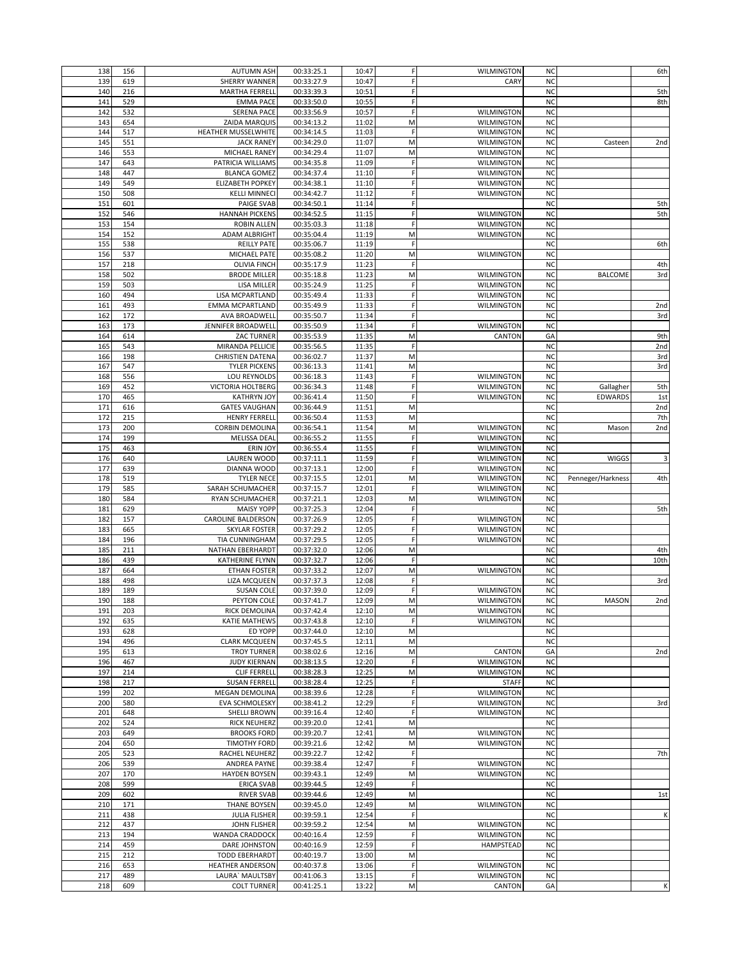| 138        |            |                                       |                          |                |        |                             |                 |                   |                 |
|------------|------------|---------------------------------------|--------------------------|----------------|--------|-----------------------------|-----------------|-------------------|-----------------|
|            | 156        | <b>AUTUMN ASH</b>                     | 00:33:25.1               | 10:47          | F      | <b>WILMINGTON</b>           | <b>NC</b>       |                   | 6th             |
| 139        | 619        | <b>SHERRY WANNER</b>                  | 00:33:27.9               | 10:47          | F      | CARY                        | <b>NC</b>       |                   |                 |
| 140        | 216        | <b>MARTHA FERRELI</b>                 | 00:33:39.3               | 10:51          | F      |                             | <b>NC</b>       |                   | 5th             |
|            |            |                                       |                          |                |        |                             |                 |                   |                 |
| 141        | 529        | <b>EMMA PACE</b>                      | 00:33:50.0               | 10:55          | F      |                             | <b>NC</b>       |                   | 8th             |
| 142        | 532        | <b>SERENA PACE</b>                    | 00:33:56.9               | 10:57          | F      | WILMINGTON                  | <b>NC</b>       |                   |                 |
|            |            |                                       |                          |                |        |                             |                 |                   |                 |
| 143        | 654        | ZAIDA MARQUIS                         | 00:34:13.2               | 11:02          | M      | <b>WILMINGTON</b>           | <b>NC</b>       |                   |                 |
| 144        | 517        | <b>HEATHER MUSSELWHITE</b>            | 00:34:14.5               | 11:03          | F      | <b>WILMINGTON</b>           | <b>NC</b>       |                   |                 |
| 145        | 551        | <b>JACK RANEY</b>                     | 00:34:29.0               | 11:07          | M      | WILMINGTON                  | <b>NC</b>       | Casteen           | 2 <sub>nd</sub> |
|            |            |                                       |                          |                |        |                             |                 |                   |                 |
| 146        | 553        | MICHAEL RANEY                         | 00:34:29.4               | 11:07          | M      | <b>WILMINGTON</b>           | <b>NC</b>       |                   |                 |
| 147        | 643        | PATRICIA WILLIAMS                     | 00:34:35.8               | 11:09          | F      | <b>WILMINGTON</b>           | <b>NC</b>       |                   |                 |
|            |            |                                       |                          |                |        |                             |                 |                   |                 |
| 148        | 447        | <b>BLANCA GOMEZ</b>                   | 00:34:37.4               | 11:10          | F      | <b>WILMINGTON</b>           | <b>NC</b>       |                   |                 |
| 149        | 549        | <b>ELIZABETH POPKEY</b>               | 00:34:38.1               | 11:10          | F      | <b>WILMINGTON</b>           | <b>NC</b>       |                   |                 |
|            |            |                                       |                          |                |        |                             |                 |                   |                 |
| 150        | 508        | <b>KELLI MINNECI</b>                  | 00:34:42.7               | 11:12          | F      | <b>WILMINGTON</b>           | <b>NC</b>       |                   |                 |
| 151        | 601        | <b>PAIGE SVAB</b>                     | 00:34:50.1               | 11:14          | F      |                             | <b>NC</b>       |                   | 5th             |
|            |            |                                       |                          |                |        |                             |                 |                   |                 |
| 152        | 546        | <b>HANNAH PICKENS</b>                 | 00:34:52.5               | 11:15          | F      | WILMINGTON                  | <b>NC</b>       |                   | 5th             |
| 153        | 154        | <b>ROBIN ALLEN</b>                    | 00:35:03.3               | 11:18          | F      | <b>WILMINGTON</b>           | <b>NC</b>       |                   |                 |
|            |            |                                       |                          |                |        |                             |                 |                   |                 |
| 154        | 152        | <b>ADAM ALBRIGHT</b>                  | 00:35:04.4               | 11:19          | M      | WILMINGTON                  | <b>NC</b>       |                   |                 |
| 155        | 538        | <b>REILLY PATE</b>                    | 00:35:06.7               | 11:19          | F      |                             | <b>NC</b>       |                   | 6th             |
|            |            |                                       |                          |                |        |                             |                 |                   |                 |
| 156        | 537        | <b>MICHAEL PATE</b>                   | 00:35:08.2               | 11:20          | M      | <b>WILMINGTON</b>           | <b>NC</b>       |                   |                 |
| 157        | 218        | <b>OLIVIA FINCH</b>                   | 00:35:17.9               | 11:23          | F      |                             | <b>NC</b>       |                   | 4th             |
|            |            |                                       |                          |                |        |                             |                 |                   |                 |
| 158        | 502        | <b>BRODE MILLER</b>                   | 00:35:18.8               | 11:23          | M      | <b>WILMINGTON</b>           | <b>NC</b>       | <b>BALCOME</b>    | 3rd             |
| 159        | 503        | LISA MILLER                           | 00:35:24.9               | 11:25          | F      | <b>WILMINGTON</b>           | <b>NC</b>       |                   |                 |
| 160        | 494        | LISA MCPARTLAND                       | 00:35:49.4               | 11:33          | F      | <b>WILMINGTON</b>           | <b>NC</b>       |                   |                 |
|            |            |                                       |                          |                |        |                             |                 |                   |                 |
| 161        | 493        | <b>EMMA MCPARTLAND</b>                | 00:35:49.9               | 11:33          | F      | <b>WILMINGTON</b>           | <b>NC</b>       |                   | 2nd             |
| 162        | 172        | AVA BROADWELL                         | 00:35:50.7               | 11:34          | F      |                             | <b>NC</b>       |                   | 3rd             |
|            |            |                                       |                          |                |        |                             |                 |                   |                 |
| 163        | 173        | JENNIFER BROADWELL                    | 00:35:50.9               | 11:34          | F      | <b>WILMINGTON</b>           | <b>NC</b>       |                   |                 |
| 164        | 614        | <b>ZAC TURNER</b>                     | 00:35:53.9               | 11:35          | M      | CANTON                      | GA              |                   | 9th             |
|            |            |                                       |                          |                |        |                             |                 |                   |                 |
| 165        | 543        | MIRANDA PELLICIE                      | 00:35:56.5               | 11:35          | F      |                             | <b>NC</b>       |                   | 2nd             |
| 166        | 198        | <b>CHRISTIEN DATENA</b>               | 00:36:02.7               | 11:37          | M      |                             | <b>NC</b>       |                   | 3rd             |
|            |            |                                       |                          |                |        |                             |                 |                   |                 |
| 167        | 547        | <b>TYLER PICKENS</b>                  | 00:36:13.3               | 11:41          | M      |                             | <b>NC</b>       |                   | 3rd             |
| 168        | 556        | LOU REYNOLDS                          | 00:36:18.3               | 11:43          | F      | <b>WILMINGTON</b>           | <b>NC</b>       |                   |                 |
|            |            |                                       |                          |                |        |                             |                 |                   |                 |
| 169        | 452        | VICTORIA HOLTBERG                     | 00:36:34.3               | 11:48          | F      | <b>WILMINGTON</b>           | <b>NC</b>       | Gallagher         | 5th             |
| 170        | 465        | <b>KATHRYN JOY</b>                    | 00:36:41.4               | 11:50          | F      | <b>WILMINGTON</b>           | <b>NC</b>       | <b>EDWARDS</b>    | 1st             |
|            |            |                                       |                          |                |        |                             |                 |                   |                 |
| 171        | 616        | <b>GATES VAUGHAN</b>                  | 00:36:44.9               | 11:51          | M      |                             | <b>NC</b>       |                   | 2nd             |
| 172        | 215        | <b>HENRY FERRELI</b>                  | 00:36:50.4               | 11:53          | M      |                             | <b>NC</b>       |                   | 7th             |
|            |            |                                       |                          |                |        |                             |                 |                   |                 |
| 173        | 200        | <b>CORBIN DEMOLINA</b>                | 00:36:54.1               | 11:54          | M      | <b>WILMINGTON</b>           | <b>NC</b>       | Mason             | 2nd             |
| 174        | 199        | MELISSA DEAL                          | 00:36:55.2               | 11:55          | F      | WILMINGTON                  | <b>NC</b>       |                   |                 |
|            |            |                                       |                          |                |        |                             |                 |                   |                 |
| 175        | 463        | <b>ERIN JOY</b>                       | 00:36:55.4               | 11:55          | F      | <b>WILMINGTON</b>           | <b>NC</b>       |                   |                 |
| 176        | 640        | <b>LAUREN WOOD</b>                    | 00:37:11.1               | 11:59          | F      | <b>WILMINGTON</b>           | <b>NC</b>       | <b>WIGGS</b>      | 3               |
|            |            |                                       |                          |                |        |                             |                 |                   |                 |
| 177        | 639        | DIANNA WOOD                           | 00:37:13.1               | 12:00          | F      | WILMINGTON                  | <b>NC</b>       |                   |                 |
| 178        | 519        | <b>TYLER NECE</b>                     | 00:37:15.5               | 12:01          | M      | <b>WILMINGTON</b>           | <b>NC</b>       | Penneger/Harkness | 4th             |
|            |            |                                       |                          |                |        |                             |                 |                   |                 |
| 179        | 585        | SARAH SCHUMACHER                      | 00:37:15.7               | 12:01          | F      | <b>WILMINGTON</b>           | <b>NC</b>       |                   |                 |
| 180        | 584        | RYAN SCHUMACHER                       | 00:37:21.1               | 12:03          | M      | <b>WILMINGTON</b>           | <b>NC</b>       |                   |                 |
|            |            |                                       |                          |                |        |                             |                 |                   |                 |
| 181        | 629        |                                       |                          |                |        |                             |                 |                   |                 |
|            |            | <b>MAISY YOPF</b>                     | 00:37:25.3               | 12:04          | F      |                             | <b>NC</b>       |                   | 5th             |
|            | 157        |                                       |                          |                | F      |                             | <b>NC</b>       |                   |                 |
| 182        |            | <b>CAROLINE BALDERSON</b>             | 00:37:26.9               | 12:05          |        | WILMINGTON                  |                 |                   |                 |
| 183        | 665        | <b>SKYLAR FOSTER</b>                  | 00:37:29.2               | 12:05          | F      | <b>WILMINGTON</b>           | <b>NC</b>       |                   |                 |
| 184        | 196        |                                       |                          |                | F      |                             | <b>NC</b>       |                   |                 |
|            |            | TIA CUNNINGHAM                        | 00:37:29.5               | 12:05          |        | WILMINGTON                  |                 |                   |                 |
| 185        | 211        | NATHAN EBERHARDT                      | 00:37:32.0               | 12:06          | M      |                             | <b>NC</b>       |                   | 4th             |
| 186        | 439        | <b>KATHERINE FLYNN</b>                | 00:37:32.7               |                | F      |                             | <b>NC</b>       |                   | 10th            |
|            |            |                                       |                          | 12:06          |        |                             |                 |                   |                 |
| 187        | 664        | <b>ETHAN FOSTER</b>                   | 00:37:33.2               | 12:07          | M      | WILMINGTON                  | <b>NC</b>       |                   |                 |
| 188        | 498        | <b>LIZA MCQUEEN</b>                   | 00:37:37.3               | 12:08          | F      |                             | <b>NC</b>       |                   | 3rd             |
|            |            |                                       |                          |                |        |                             |                 |                   |                 |
| 189        | 189        | <b>SUSAN COLE</b>                     | 00:37:39.0               | 12:09          | F      | <b>WILMINGTON</b>           | <b>NC</b>       |                   |                 |
| 190        | 188        | PEYTON COLE                           | 00:37:41.7               | 12:09          | M      | WILMINGTON                  | <b>NC</b>       | MASON             | 2nd             |
|            |            |                                       |                          |                |        |                             |                 |                   |                 |
| 191        | 203        | RICK DEMOLINA                         | 00:37:42.4               | 12:10          | M      | WILMINGTON                  | <b>NC</b>       |                   |                 |
| 192        | 635        | <b>KATIE MATHEWS</b>                  | 00:37:43.8               | 12:10          | F      | <b>WILMINGTON</b>           | <b>NC</b>       |                   |                 |
|            |            |                                       |                          |                |        |                             |                 |                   |                 |
| 193        | 628        | <b>ED YOPP</b>                        | 00:37:44.0               | 12:10          | M      |                             | <b>NC</b>       |                   |                 |
| 194        | 496        | <b>CLARK MCQUEEN</b>                  | 00:37:45.5               | 12:11          | M      |                             | <b>NC</b>       |                   |                 |
| 195        | 613        | <b>TROY TURNER</b>                    | 00:38:02.6               | 12:16          | M      | CANTON                      | GA              |                   | 2nd             |
|            |            |                                       |                          |                |        |                             |                 |                   |                 |
| 196        | 467        | <b>JUDY KIERNAN</b>                   | 00:38:13.5               | 12:20          | F      | <b>WILMINGTON</b>           | <b>NC</b>       |                   |                 |
| 197        | 214        | <b>CLIF FERRELL</b>                   | 00:38:28.3               | 12:25          | M      | <b>WILMINGTON</b>           | <b>NC</b>       |                   |                 |
|            |            |                                       |                          |                |        |                             |                 |                   |                 |
| 198        | 217        | <b>SUSAN FERRELL</b>                  | 00:38:28.4               | 12:25          | F      | <b>STAFF</b>                | <b>NC</b>       |                   |                 |
| 199        | 202        | MEGAN DEMOLINA                        | 00:38:39.6               | 12:28          | F      | WILMINGTON                  | <b>NC</b>       |                   |                 |
|            |            |                                       |                          |                |        |                             |                 |                   |                 |
| 200        | 580        | <b>EVA SCHMOLESKY</b>                 | 00:38:41.2               | 12:29          | F      | WILMINGTON                  | <b>NC</b>       |                   | 3rd             |
| 201        | 648        | <b>SHELLI BROWN</b>                   | 00:39:16.4               | 12:40          | F      | <b>WILMINGTON</b>           | <b>NC</b>       |                   |                 |
|            |            |                                       |                          |                |        |                             |                 |                   |                 |
| 202        | 524        | <b>RICK NEUHERZ</b>                   | 00:39:20.0               | 12:41          | M      |                             | <b>NC</b>       |                   |                 |
| 203        | 649        | <b>BROOKS FORD</b>                    | 00:39:20.7               | 12:41          | M      | <b>WILMINGTON</b>           | <b>NC</b>       |                   |                 |
| 204        | 650        |                                       |                          |                | M      | <b>WILMINGTON</b>           | <b>NC</b>       |                   |                 |
|            |            | <b>TIMOTHY FORD</b>                   | 00:39:21.6               | 12:42          |        |                             |                 |                   |                 |
| 205        | 523        | RACHEL NEUHERZ                        | 00:39:22.7               | 12:42          | F      |                             | <b>NC</b>       |                   | 7th             |
| 206        |            | <b>ANDREA PAYNE</b>                   | 00:39:38.4               |                | F      | <b>WILMINGTON</b>           | <b>NC</b>       |                   |                 |
|            | 539        |                                       |                          | 12:47          |        |                             |                 |                   |                 |
| 207        | 170        | <b>HAYDEN BOYSEN</b>                  | 00:39:43.1               | 12:49          | M      | <b>WILMINGTON</b>           | <b>NC</b>       |                   |                 |
| 208        | 599        | <b>ERICA SVAB</b>                     | 00:39:44.5               | 12:49          | F      |                             | <b>NC</b>       |                   |                 |
|            |            |                                       |                          |                |        |                             |                 |                   |                 |
| 209        | 602        | <b>RIVER SVAB</b>                     | 00:39:44.6               | 12:49          | M      |                             | <b>NC</b>       |                   | 1st             |
|            |            |                                       |                          |                | M      |                             | <b>NC</b>       |                   |                 |
| 210        | 171        | THANE BOYSEN                          | 00:39:45.0               | 12:49          |        | <b>WILMINGTON</b>           |                 |                   |                 |
| 211        | 438        | <b>JULIA FLISHER</b>                  | 00:39:59.1               | 12:54          | F      |                             | <b>NC</b>       |                   | К               |
| 212        | 437        | <b>JOHN FLISHER</b>                   | 00:39:59.2               | 12:54          | M      | <b>WILMINGTON</b>           | <b>NC</b>       |                   |                 |
|            |            |                                       |                          |                |        |                             |                 |                   |                 |
| 213        | 194        | WANDA CRADDOCK                        | 00:40:16.4               | 12:59          | F      | <b>WILMINGTON</b>           | <b>NC</b>       |                   |                 |
| 214        | 459        | DARE JOHNSTON                         | 00:40:16.9               | 12:59          | F      | HAMPSTEAD                   | <b>NC</b>       |                   |                 |
|            |            |                                       |                          |                |        |                             |                 |                   |                 |
| 215        | 212        | <b>TODD EBERHARDT</b>                 | 00:40:19.7               | 13:00          | M      |                             | <b>NC</b>       |                   |                 |
| 216        | 653        | <b>HEATHER ANDERSON</b>               | 00:40:37.8               | 13:06          | F      | <b>WILMINGTON</b>           | <b>NC</b>       |                   |                 |
|            |            |                                       |                          |                |        |                             |                 |                   |                 |
| 217<br>218 | 489<br>609 | LAURA' MAULTSBY<br><b>COLT TURNER</b> | 00:41:06.3<br>00:41:25.1 | 13:15<br>13:22 | F<br>M | <b>WILMINGTON</b><br>CANTON | <b>NC</b><br>GA |                   | К               |